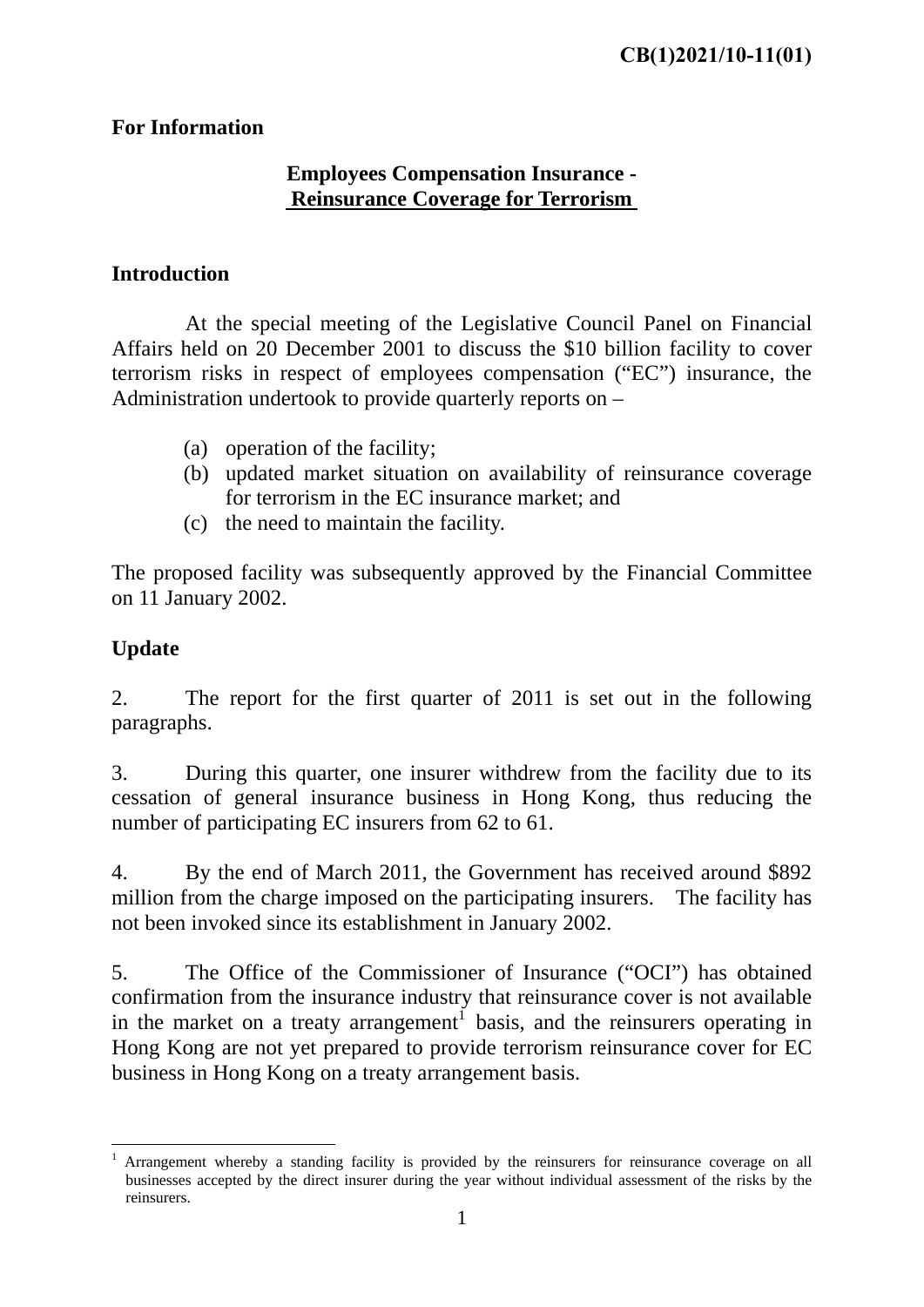### **For Information**

### **Employees Compensation Insurance - Reinsurance Coverage for Terrorism**

# **Introduction**

 At the special meeting of the Legislative Council Panel on Financial Affairs held on 20 December 2001 to discuss the \$10 billion facility to cover terrorism risks in respect of employees compensation ("EC") insurance, the Administration undertook to provide quarterly reports on –

- (a) operation of the facility;
- (b) updated market situation on availability of reinsurance coverage for terrorism in the EC insurance market; and
- (c) the need to maintain the facility.

The proposed facility was subsequently approved by the Financial Committee on 11 January 2002.

## **Update**

2. The report for the first quarter of 2011 is set out in the following paragraphs.

3. During this quarter, one insurer withdrew from the facility due to its cessation of general insurance business in Hong Kong, thus reducing the number of participating EC insurers from 62 to 61.

4. By the end of March 2011, the Government has received around \$892 million from the charge imposed on the participating insurers. The facility has not been invoked since its establishment in January 2002.

5. The Office of the Commissioner of Insurance ("OCI") has obtained confirmation from the insurance industry that reinsurance cover is not available in the market on a treaty arrangement<sup>1</sup> basis, and the reinsurers operating in Hong Kong are not yet prepared to provide terrorism reinsurance cover for EC business in Hong Kong on a treaty arrangement basis.

<sup>1</sup> 1 Arrangement whereby a standing facility is provided by the reinsurers for reinsurance coverage on all businesses accepted by the direct insurer during the year without individual assessment of the risks by the reinsurers.